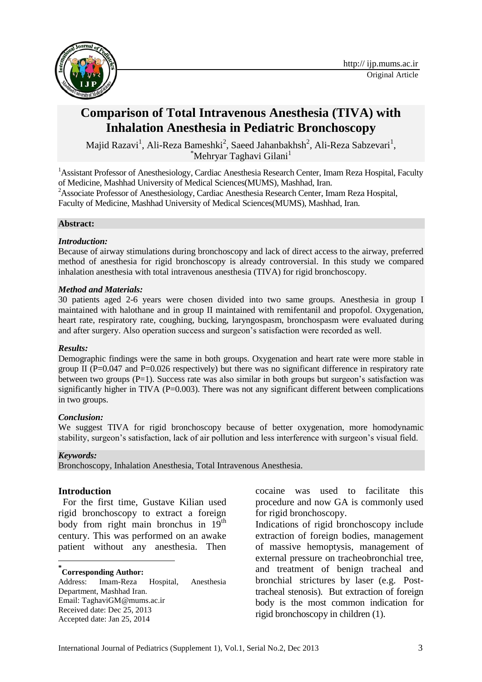

# **Comparison of Total Intravenous Anesthesia (TIVA) with Inhalation Anesthesia in Pediatric Bronchoscopy**

Majid Razavi $^1$ , Ali-Reza Bameshki $^2$ , Saeed Jahanbakhsh $^2$ , Ali-Reza Sabzevari $^1$ ,  $*$ Mehryar Taghavi Gilani<sup>1</sup>

<sup>1</sup> Assistant Professor of Anesthesiology, Cardiac Anesthesia Research Center, Imam Reza Hospital, Faculty of Medicine, Mashhad University of Medical Sciences(MUMS), Mashhad, Iran. <sup>2</sup> Associate Professor of Anesthesiology, Cardiac Anesthesia Research Center, Imam Reza Hospital,

Faculty of Medicine, Mashhad University of Medical Sciences(MUMS), Mashhad, Iran.

### **Abstract:**

### *Introduction:*

Because of airway stimulations during bronchoscopy and lack of direct access to the airway, preferred method of anesthesia for rigid bronchoscopy is already controversial. In this study we compared inhalation anesthesia with total intravenous anesthesia (TIVA) for rigid bronchoscopy.

### *Method and Materials:*

30 patients aged 2-6 years were chosen divided into two same groups. Anesthesia in group I maintained with halothane and in group II maintained with remifentanil and propofol. Oxygenation, heart rate, respiratory rate, coughing, bucking, laryngospasm, bronchospasm were evaluated during and after surgery. Also operation success and surgeon's satisfaction were recorded as well.

### *Results:*

Demographic findings were the same in both groups. Oxygenation and heart rate were more stable in group II ( $P=0.047$  and  $P=0.026$  respectively) but there was no significant difference in respiratory rate between two groups  $(P=1)$ . Success rate was also similar in both groups but surgeon's satisfaction was significantly higher in TIVA  $(P=0.003)$ . There was not any significant different between complications in two groups.

### *Conclusion:*

We suggest TIVA for rigid bronchoscopy because of better oxygenation, more homodynamic stability, surgeon's satisfaction, lack of air pollution and less interference with surgeon's visual field.

#### *Keywords:*

1

Bronchoscopy, Inhalation Anesthesia, Total Intravenous Anesthesia.

### **Introduction**

For the first time, Gustave Kilian used rigid bronchoscopy to extract a foreign body from right main bronchus in  $19<sup>th</sup>$ century. This was performed on an awake patient without any anesthesia. Then

# **\* Corresponding Author:**

Address: Imam-Reza Hospital, Anesthesia Department, Mashhad Iran. Email: TaghaviGM@mums.ac.ir Received date: Dec 25, 2013 Accepted date: Jan 25, 2014

cocaine was used to facilitate this procedure and now GA is commonly used for rigid bronchoscopy.

Indications of rigid bronchoscopy include extraction of foreign bodies, management of massive hemoptysis, management of external pressure on tracheobronchial tree, and treatment of benign tracheal and bronchial strictures by laser (e.g. Posttracheal stenosis). But extraction of foreign body is the most common indication for rigid bronchoscopy in children (1).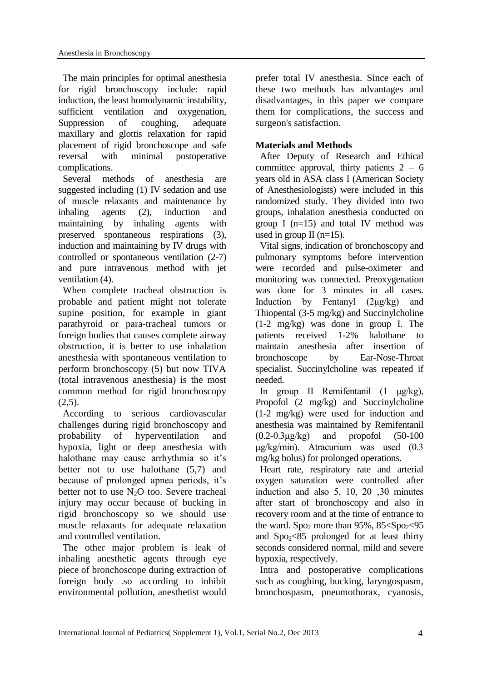The main principles for optimal anesthesia for rigid bronchoscopy include: rapid induction, the least homodynamic instability, sufficient ventilation and oxygenation, Suppression of coughing, adequate maxillary and glottis relaxation for rapid placement of rigid bronchoscope and safe reversal with minimal postoperative complications.

Several methods of anesthesia are suggested including (1) IV sedation and use of muscle relaxants and maintenance by inhaling agents (2), induction and maintaining by inhaling agents with preserved spontaneous respirations (3), induction and maintaining by IV drugs with controlled or spontaneous ventilation (2-7) and pure intravenous method with jet ventilation (4).

When complete tracheal obstruction is probable and patient might not tolerate supine position, for example in giant parathyroid or para-tracheal tumors or foreign bodies that causes complete airway obstruction, it is better to use inhalation anesthesia with spontaneous ventilation to perform bronchoscopy (5) but now TIVA (total intravenous anesthesia) is the most common method for rigid bronchoscopy  $(2,5)$ .

According to serious cardiovascular challenges during rigid bronchoscopy and probability of hyperventilation and hypoxia, light or deep anesthesia with halothane may cause arrhythmia so it's better not to use halothane (5,7) and because of prolonged apnea periods, it's better not to use  $N_2O$  too. Severe tracheal injury may occur because of bucking in rigid bronchoscopy so we should use muscle relaxants for adequate relaxation and controlled ventilation.

The other major problem is leak of inhaling anesthetic agents through eye piece of bronchoscope during extraction of foreign body .so according to inhibit environmental pollution, anesthetist would prefer total IV anesthesia. Since each of these two methods has advantages and disadvantages, in this paper we compare them for complications, the success and surgeon's satisfaction.

### **Materials and Methods**

After Deputy of Research and Ethical committee approval, thirty patients  $2 - 6$ years old in ASA class I (American Society of Anesthesiologists) were included in this randomized study. They divided into two groups, inhalation anesthesia conducted on group I (n=15) and total IV method was used in group II ( $n=15$ ).

Vital signs, indication of bronchoscopy and pulmonary symptoms before intervention were recorded and pulse-oximeter and monitoring was connected. Preoxygenation was done for 3 minutes in all cases. Induction by Fentanyl (2μg/kg) and Thiopental (3-5 mg/kg) and Succinylcholine (1-2 mg/kg) was done in group I. The patients received 1-2% halothane to maintain anesthesia after insertion of bronchoscope by Ear-Nose-Throat specialist. Succinylcholine was repeated if needed.

In group II Remifentanil (1 μg/kg), Propofol (2 mg/kg) and Succinylcholine (1-2 mg/kg) were used for induction and anesthesia was maintained by Remifentanil  $(0.2-0.3\mu g/kg)$  and propofol  $(50-100$ μg/kg/min). Atracurium was used (0.3 mg/kg bolus) for prolonged operations.

Heart rate, respiratory rate and arterial oxygen saturation were controlled after induction and also  $5$ ,  $10$ ,  $20$ ,  $30$  minutes after start of bronchoscopy and also in recovery room and at the time of entrance to the ward. Spo<sub>2</sub> more than  $95\%$ ,  $85 \leq S$ po $\geq 95$ and  $Spo<sub>2</sub>< 85$  prolonged for at least thirty seconds considered normal, mild and severe hypoxia, respectively.

Intra and postoperative complications such as coughing, bucking, laryngospasm, bronchospasm, pneumothorax, cyanosis,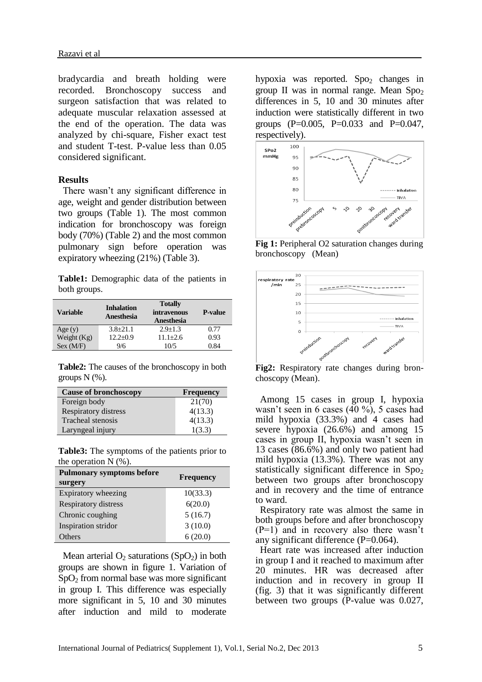bradycardia and breath holding were recorded. Bronchoscopy success and surgeon satisfaction that was related to adequate muscular relaxation assessed at the end of the operation. The data was analyzed by chi-square, Fisher exact test and student T-test. P-value less than 0.05 considered significant.

#### **Results**

There wasn't any significant difference in age, weight and gender distribution between two groups (Table 1). The most common indication for bronchoscopy was foreign body (70%) (Table 2) and the most common pulmonary sign before operation was expiratory wheezing (21%) (Table 3).

**Table1:** Demographic data of the patients in both groups.

| <b>Variable</b> | <b>Inhalation</b><br>Anesthesia | <b>Totally</b><br><i>intravenous</i><br><b>Anesthesia</b> | <b>P-value</b> |
|-----------------|---------------------------------|-----------------------------------------------------------|----------------|
| Age(y)          | $3.8 + 21.1$                    | $2.9 + 1.3$                                               | 0.77           |
| Weight $(Kg)$   | $12.2+0.9$                      | $11.1 + 2.6$                                              | 0.93           |
| Sex (MF)        | 9/6                             | 10/5                                                      | 0.84           |

**Table2:** The causes of the bronchoscopy in both groups  $N$   $(\% )$ .

| <b>Cause of bronchoscopy</b> | <b>Frequency</b> |
|------------------------------|------------------|
| Foreign body                 | 21(70)           |
| <b>Respiratory distress</b>  | 4(13.3)          |
| Tracheal stenosis            | 4(13.3)          |
| Laryngeal injury             | 1(3.3)           |

**Table3:** The symptoms of the patients prior to the operation  $N$  (%).

| <b>Pulmonary symptoms before</b><br>surgery | <b>Frequency</b> |  |  |
|---------------------------------------------|------------------|--|--|
| Expiratory wheezing                         | 10(33.3)         |  |  |
| Respiratory distress                        | 6(20.0)          |  |  |
| Chronic coughing                            | 5(16.7)          |  |  |
| Inspiration stridor                         | 3(10.0)          |  |  |
| Others                                      | 6(20.0)          |  |  |

Mean arterial  $O_2$  saturations (SpO<sub>2</sub>) in both groups are shown in figure 1. Variation of  $SpO<sub>2</sub>$  from normal base was more significant in group I. This difference was especially more significant in 5, 10 and 30 minutes after induction and mild to moderate

hypoxia was reported. Spo<sub>2</sub> changes in group II was in normal range. Mean  $Spo<sub>2</sub>$ differences in 5, 10 and 30 minutes after induction were statistically different in two groups (P=0.005, P=0.033 and P=0.047, respectively).



**Fig 1:** Peripheral O2 saturation changes during bronchoscopy (Mean)



**Fig2:** Respiratory rate changes during bronchoscopy (Mean).

Among 15 cases in group I, hypoxia wasn't seen in 6 cases  $(40\%)$ , 5 cases had mild hypoxia (33.3%) and 4 cases had severe hypoxia (26.6%) and among 15 cases in group II, hypoxia wasn't seen in 13 cases (86.6%) and only two patient had mild hypoxia (13.3%). There was not any statistically significant difference in  $Spo<sub>2</sub>$ between two groups after bronchoscopy and in recovery and the time of entrance to ward.

Respiratory rate was almost the same in both groups before and after bronchoscopy  $(P=1)$  and in recovery also there wasn't any significant difference (P=0.064).

Heart rate was increased after induction in group I and it reached to maximum after 20 minutes. HR was decreased after induction and in recovery in group II (fig. 3) that it was significantly different between two groups (P-value was 0.027,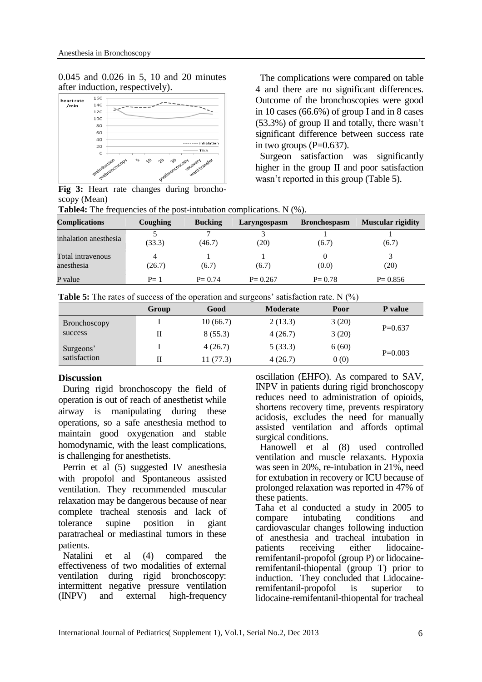0.045 and 0.026 in 5, 10 and 20 minutes after induction, respectively).



**Fig 3:** Heart rate changes during bronchoscopy (Mean)

**Table4:** The frequencies of the post-intubation complications. N  $(\%)$ .

**Complications Coughing Bucking Laryngospasm Bronchospasm Muscular rigidity** inhalation anesthesia <sup>5</sup> (33.3) 7 (46.7) 3 (20) 1 (6.7) 1 (6.7) Total intravenous anesthesia 4 (26.7) 1 (6.7) 1 (6.7)  $\overline{0}$ (0.0) 3 (20) P value  $P= 1$   $P= 0.74$   $P= 0.267$   $P= 0.78$   $P= 0.856$ 

|              | Group | Good     | <b>Moderate</b> | Poor  | P value   |
|--------------|-------|----------|-----------------|-------|-----------|
| Bronchoscopy |       | 10(66.7) | 2(13.3)         | 3(20) | $P=0.637$ |
| success      | Н     | 8(55.3)  | 4(26.7)         | 3(20) |           |
| Surgeons'    |       | 4(26.7)  | 5(33.3)         | 6(60) |           |
| satisfaction |       | 11(77.3) | 4(26.7)         | 0(0)  | $P=0.003$ |

### **Discussion**

During rigid bronchoscopy the field of operation is out of reach of anesthetist while airway is manipulating during these operations, so a safe anesthesia method to maintain good oxygenation and stable homodynamic, with the least complications, is challenging for anesthetists.

Perrin et al (5) suggested IV anesthesia with propofol and Spontaneous assisted ventilation. They recommended muscular relaxation may be dangerous because of near complete tracheal stenosis and lack of tolerance supine position in giant paratracheal or mediastinal tumors in these patients.

Natalini et al (4) compared the effectiveness of two modalities of external ventilation during rigid bronchoscopy: intermittent negative pressure ventilation (INPV) and external high-frequency

oscillation (EHFO). As compared to SAV, INPV in patients during rigid bronchoscopy reduces need to administration of opioids, shortens recovery time, prevents respiratory acidosis, excludes the need for manually assisted ventilation and affords optimal surgical conditions.

The complications were compared on table 4 and there are no significant differences. Outcome of the bronchoscopies were good in 10 cases (66.6%) of group I and in 8 cases (53.3%) of group II and totally, there wasn't significant difference between success rate

Surgeon satisfaction was significantly higher in the group II and poor satisfaction

wasn't reported in this group (Table 5).

in two groups  $(P=0.637)$ .

Hanowell et al (8) used controlled ventilation and muscle relaxants. Hypoxia was seen in 20%, re-intubation in 21%, need for extubation in recovery or ICU because of prolonged relaxation was reported in 47% of these patients.

Taha et al conducted a study in 2005 to compare intubating conditions and cardiovascular changes following induction of anesthesia and tracheal intubation in patients receiving either lidocaineremifentanil-propofol (group P) or lidocaineremifentanil-thiopental (group T) prior to induction. They concluded that Lidocaineremifentanil-propofol is superior to lidocaine-remifentanil-thiopental for tracheal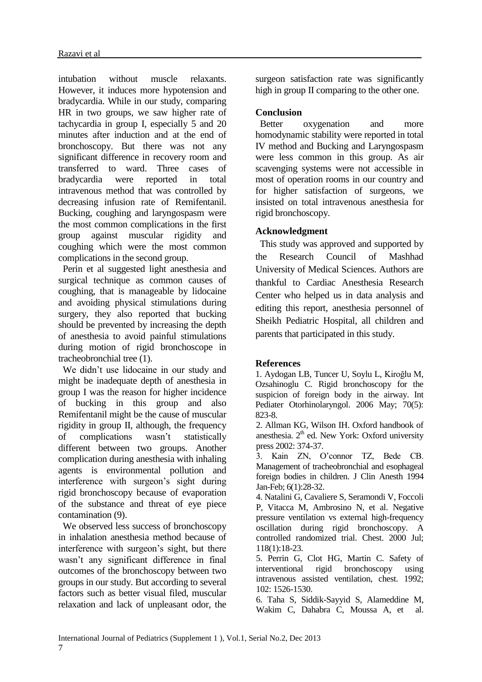intubation without muscle relaxants. However, it induces more hypotension and bradycardia. While in our study, comparing HR in two groups, we saw higher rate of tachycardia in group I, especially 5 and 20 minutes after induction and at the end of bronchoscopy. But there was not any significant difference in recovery room and transferred to ward. Three cases of bradycardia were reported in total intravenous method that was controlled by decreasing infusion rate of Remifentanil. Bucking, coughing and laryngospasm were the most common complications in the first group against muscular rigidity and coughing which were the most common complications in the second group.

Perin et al suggested light anesthesia and surgical technique as common causes of coughing, that is manageable by lidocaine and avoiding physical stimulations during surgery, they also reported that bucking should be prevented by increasing the depth of anesthesia to avoid painful stimulations during motion of rigid bronchoscope in tracheobronchial tree (1).

We didn't use lidocaine in our study and might be inadequate depth of anesthesia in group I was the reason for higher incidence of bucking in this group and also Remifentanil might be the cause of muscular rigidity in group II, although, the frequency of complications wasn't statistically different between two groups. Another complication during anesthesia with inhaling agents is environmental pollution and interference with surgeon's sight during rigid bronchoscopy because of evaporation of the substance and threat of eye piece contamination (9).

We observed less success of bronchoscopy in inhalation anesthesia method because of interference with surgeon's sight, but there wasn't any significant difference in final outcomes of the bronchoscopy between two groups in our study. But according to several factors such as better visual filed, muscular relaxation and lack of unpleasant odor, the

surgeon satisfaction rate was significantly high in group II comparing to the other one.

### **Conclusion**

Better oxygenation and more homodynamic stability were reported in total IV method and Bucking and Laryngospasm were less common in this group. As air scavenging systems were not accessible in most of operation rooms in our country and for higher satisfaction of surgeons, we insisted on total intravenous anesthesia for rigid bronchoscopy.

# **Acknowledgment**

This study was approved and supported by the Research Council of Mashhad University of Medical Sciences. Authors are thankful to Cardiac Anesthesia Research Center who helped us in data analysis and editing this report, anesthesia personnel of Sheikh Pediatric Hospital, all children and parents that participated in this study.

### **References**

1. Aydogan LB, Tuncer U, Soylu L, [Kiroğlu M,](http://www.ncbi.nlm.nih.gov/pubmed?term=Kiro%C4%9Flu%20M%5BAuthor%5D&cauthor=true&cauthor_uid=16242787) [Ozsahinoglu C.](http://www.ncbi.nlm.nih.gov/pubmed?term=Ozsahinoglu%20C%5BAuthor%5D&cauthor=true&cauthor_uid=16242787) Rigid bronchoscopy for the suspicion of foreign body in the airway. Int Pediater Otorhinolaryngol. 2006 May; 70(5): 823-8.

2. Allman KG, Wilson IH. Oxford handbook of anesthesia.  $2<sup>th</sup>$  ed. New York: Oxford university press 2002: 374-37.

3. Kain ZN, O'connor TZ, Bede CB. Management of tracheobronchial and esophageal foreign bodies in children. J Clin Anesth 1994 Jan-Feb; 6(1):28-32.

4. Natalini G, Cavaliere S, Seramondi V, Foccoli P, Vitacca M, Ambrosino N, et al. Negative pressure ventilation vs external high-frequency oscillation during rigid bronchoscopy. A controlled randomized trial. Chest. 2000 Jul; 118(1):18-23.

5. Perrin G, Clot HG, Martin C. Safety of interventional rigid bronchoscopy using intravenous assisted ventilation, chest. 1992; 102: 1526-1530.

6. Taha S, Siddik-Sayyid S, Alameddine M, Wakim C, Dahabra C, Moussa A, et al.